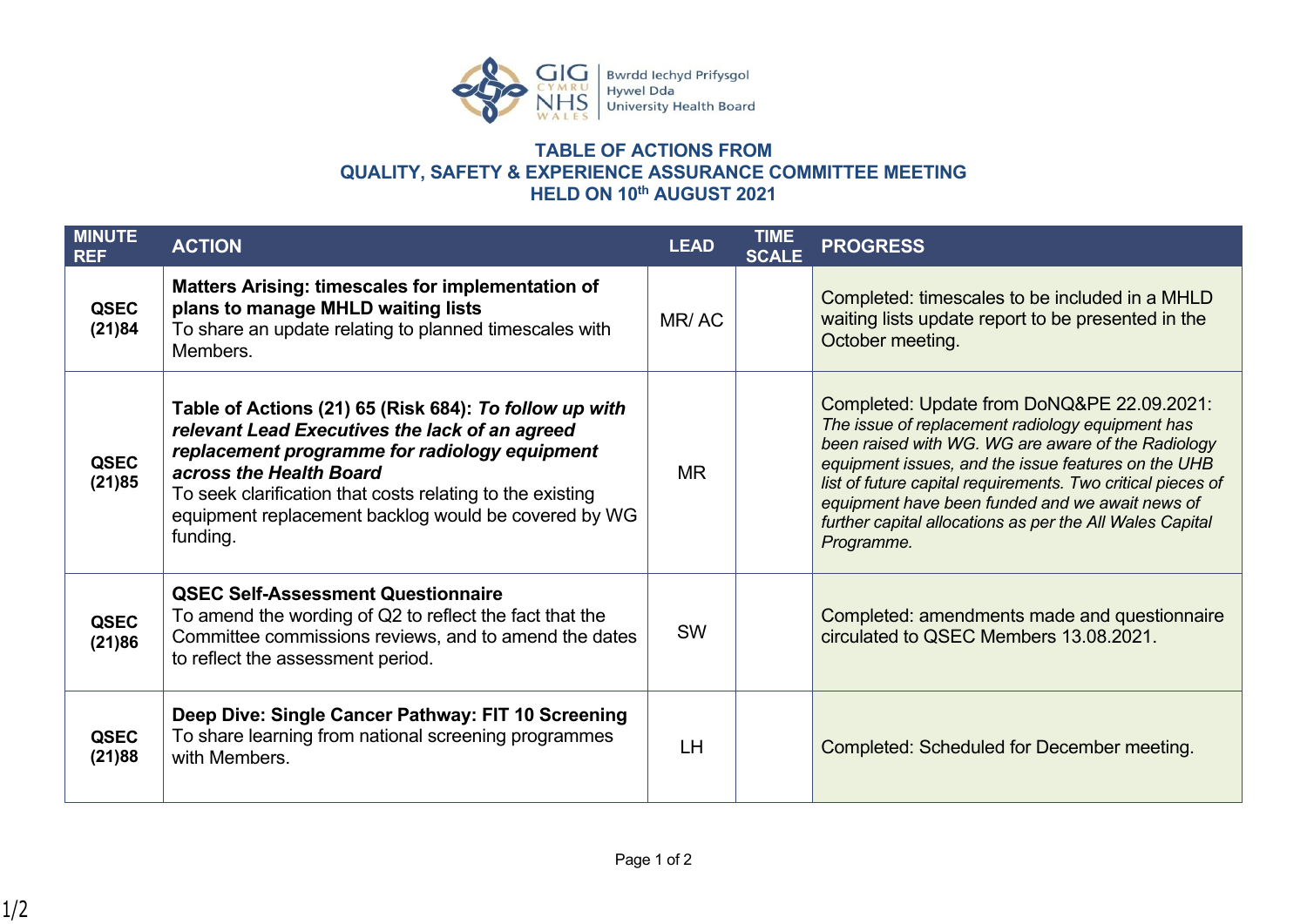

## **TABLE OF ACTIONS FROM QUALITY, SAFETY & EXPERIENCE ASSURANCE COMMITTEE MEETING HELD ON 10th AUGUST 2021**

| <b>MINUTE</b><br><b>REF</b> | <b>ACTION</b>                                                                                                                                                                                                                                                                                                         | <b>LEAD</b> | TIME<br><b>SCALE</b> | <b>PROGRESS</b>                                                                                                                                                                                                                                                                                                                                                                                         |
|-----------------------------|-----------------------------------------------------------------------------------------------------------------------------------------------------------------------------------------------------------------------------------------------------------------------------------------------------------------------|-------------|----------------------|---------------------------------------------------------------------------------------------------------------------------------------------------------------------------------------------------------------------------------------------------------------------------------------------------------------------------------------------------------------------------------------------------------|
| <b>QSEC</b><br>(21)84       | <b>Matters Arising: timescales for implementation of</b><br>plans to manage MHLD waiting lists<br>To share an update relating to planned timescales with<br>Members.                                                                                                                                                  | MR/AC       |                      | Completed: timescales to be included in a MHLD<br>waiting lists update report to be presented in the<br>October meeting.                                                                                                                                                                                                                                                                                |
| <b>QSEC</b><br>(21)85       | Table of Actions (21) 65 (Risk 684): To follow up with<br>relevant Lead Executives the lack of an agreed<br>replacement programme for radiology equipment<br>across the Health Board<br>To seek clarification that costs relating to the existing<br>equipment replacement backlog would be covered by WG<br>funding. | <b>MR</b>   |                      | Completed: Update from DoNQ&PE 22.09.2021:<br>The issue of replacement radiology equipment has<br>been raised with WG. WG are aware of the Radiology<br>equipment issues, and the issue features on the UHB<br>list of future capital requirements. Two critical pieces of<br>equipment have been funded and we await news of<br>further capital allocations as per the All Wales Capital<br>Programme. |
| <b>QSEC</b><br>(21)86       | <b>QSEC Self-Assessment Questionnaire</b><br>To amend the wording of Q2 to reflect the fact that the<br>Committee commissions reviews, and to amend the dates<br>to reflect the assessment period.                                                                                                                    | <b>SW</b>   |                      | Completed: amendments made and questionnaire<br>circulated to QSEC Members 13.08.2021.                                                                                                                                                                                                                                                                                                                  |
| <b>QSEC</b><br>(21)88       | Deep Dive: Single Cancer Pathway: FIT 10 Screening<br>To share learning from national screening programmes<br>with Members.                                                                                                                                                                                           | LH          |                      | Completed: Scheduled for December meeting.                                                                                                                                                                                                                                                                                                                                                              |